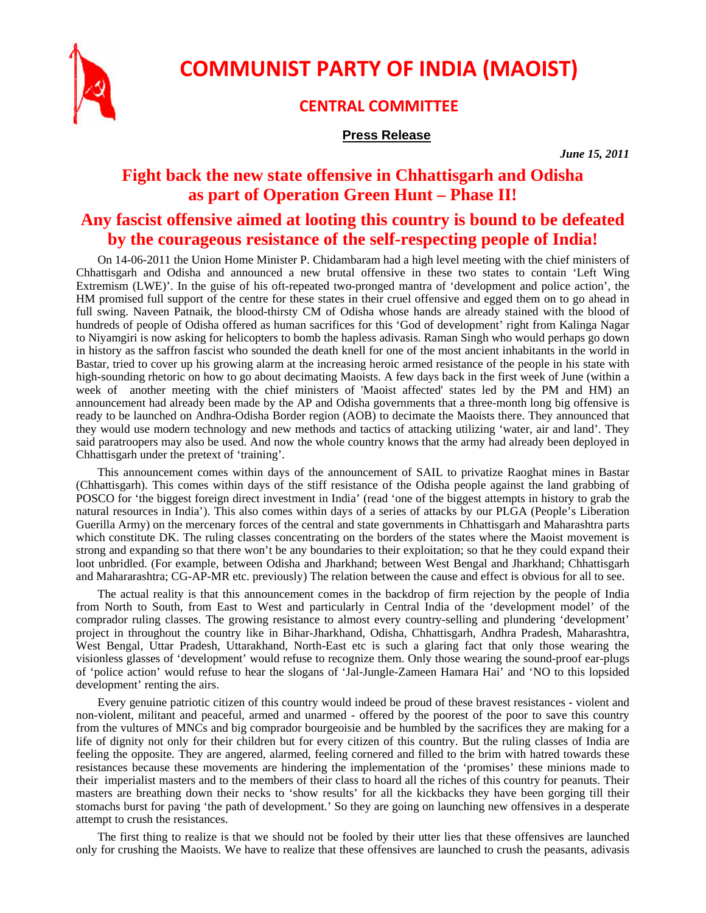

**COMMUNIST PARTY OF INDIA (MAOIST)**

## **CENTRAL COMMITTEE**

## **Press Release**

*June 15, 2011* 

## **Fight back the new state offensive in Chhattisgarh and Odisha as part of Operation Green Hunt – Phase II!**

## **Any fascist offensive aimed at looting this country is bound to be defeated by the courageous resistance of the self-respecting people of India!**

On 14-06-2011 the Union Home Minister P. Chidambaram had a high level meeting with the chief ministers of Chhattisgarh and Odisha and announced a new brutal offensive in these two states to contain 'Left Wing Extremism (LWE)'. In the guise of his oft-repeated two-pronged mantra of 'development and police action', the HM promised full support of the centre for these states in their cruel offensive and egged them on to go ahead in full swing. Naveen Patnaik, the blood-thirsty CM of Odisha whose hands are already stained with the blood of hundreds of people of Odisha offered as human sacrifices for this 'God of development' right from Kalinga Nagar to Niyamgiri is now asking for helicopters to bomb the hapless adivasis. Raman Singh who would perhaps go down in history as the saffron fascist who sounded the death knell for one of the most ancient inhabitants in the world in Bastar, tried to cover up his growing alarm at the increasing heroic armed resistance of the people in his state with high-sounding rhetoric on how to go about decimating Maoists. A few days back in the first week of June (within a week of another meeting with the chief ministers of 'Maoist affected' states led by the PM and HM) an announcement had already been made by the AP and Odisha governments that a three-month long big offensive is ready to be launched on Andhra-Odisha Border region (AOB) to decimate the Maoists there. They announced that they would use modern technology and new methods and tactics of attacking utilizing 'water, air and land'. They said paratroopers may also be used. And now the whole country knows that the army had already been deployed in Chhattisgarh under the pretext of 'training'.

This announcement comes within days of the announcement of SAIL to privatize Raoghat mines in Bastar (Chhattisgarh). This comes within days of the stiff resistance of the Odisha people against the land grabbing of POSCO for 'the biggest foreign direct investment in India' (read 'one of the biggest attempts in history to grab the natural resources in India'). This also comes within days of a series of attacks by our PLGA (People's Liberation Guerilla Army) on the mercenary forces of the central and state governments in Chhattisgarh and Maharashtra parts which constitute DK. The ruling classes concentrating on the borders of the states where the Maoist movement is strong and expanding so that there won't be any boundaries to their exploitation; so that he they could expand their loot unbridled. (For example, between Odisha and Jharkhand; between West Bengal and Jharkhand; Chhattisgarh and Mahararashtra; CG-AP-MR etc. previously) The relation between the cause and effect is obvious for all to see.

The actual reality is that this announcement comes in the backdrop of firm rejection by the people of India from North to South, from East to West and particularly in Central India of the 'development model' of the comprador ruling classes. The growing resistance to almost every country-selling and plundering 'development' project in throughout the country like in Bihar-Jharkhand, Odisha, Chhattisgarh, Andhra Pradesh, Maharashtra, West Bengal, Uttar Pradesh, Uttarakhand, North-East etc is such a glaring fact that only those wearing the visionless glasses of 'development' would refuse to recognize them. Only those wearing the sound-proof ear-plugs of 'police action' would refuse to hear the slogans of 'Jal-Jungle-Zameen Hamara Hai' and 'NO to this lopsided development' renting the airs.

Every genuine patriotic citizen of this country would indeed be proud of these bravest resistances - violent and non-violent, militant and peaceful, armed and unarmed - offered by the poorest of the poor to save this country from the vultures of MNCs and big comprador bourgeoisie and be humbled by the sacrifices they are making for a life of dignity not only for their children but for every citizen of this country. But the ruling classes of India are feeling the opposite. They are angered, alarmed, feeling cornered and filled to the brim with hatred towards these resistances because these movements are hindering the implementation of the 'promises' these minions made to their imperialist masters and to the members of their class to hoard all the riches of this country for peanuts. Their masters are breathing down their necks to 'show results' for all the kickbacks they have been gorging till their stomachs burst for paving 'the path of development.' So they are going on launching new offensives in a desperate attempt to crush the resistances.

The first thing to realize is that we should not be fooled by their utter lies that these offensives are launched only for crushing the Maoists. We have to realize that these offensives are launched to crush the peasants, adivasis